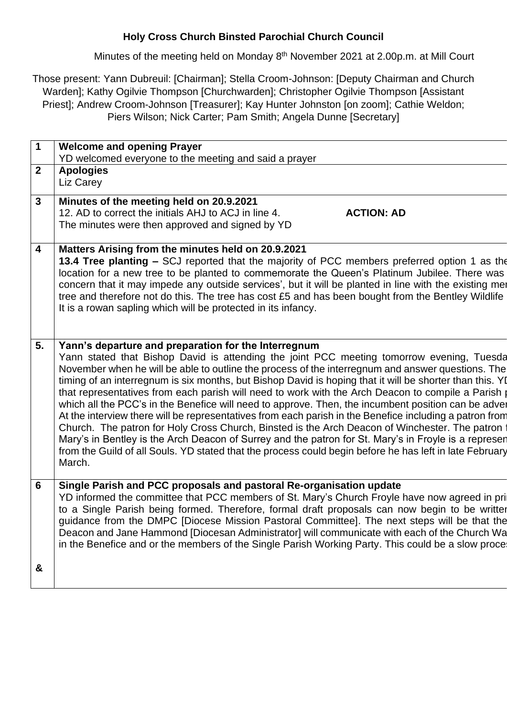## **Holy Cross Church Binsted Parochial Church Council**

Minutes of the meeting held on Monday 8<sup>th</sup> November 2021 at 2.00p.m. at Mill Court

Those present: Yann Dubreuil: [Chairman]; Stella Croom-Johnson: [Deputy Chairman and Church Warden]; Kathy Ogilvie Thompson [Churchwarden]; Christopher Ogilvie Thompson [Assistant Priest]; Andrew Croom-Johnson [Treasurer]; Kay Hunter Johnston [on zoom]; Cathie Weldon; Piers Wilson; Nick Carter; Pam Smith; Angela Dunne [Secretary]

| $\overline{1}$          | <b>Welcome and opening Prayer</b><br>YD welcomed everyone to the meeting and said a prayer                                                                                                                                                                                                                                                                                                                                                                                                                                                                                                                                                                                                                                                                                                                                                                                                                                                                                                                                         |
|-------------------------|------------------------------------------------------------------------------------------------------------------------------------------------------------------------------------------------------------------------------------------------------------------------------------------------------------------------------------------------------------------------------------------------------------------------------------------------------------------------------------------------------------------------------------------------------------------------------------------------------------------------------------------------------------------------------------------------------------------------------------------------------------------------------------------------------------------------------------------------------------------------------------------------------------------------------------------------------------------------------------------------------------------------------------|
| $\overline{2}$          | <b>Apologies</b><br>Liz Carey                                                                                                                                                                                                                                                                                                                                                                                                                                                                                                                                                                                                                                                                                                                                                                                                                                                                                                                                                                                                      |
| $\mathbf{3}$            | Minutes of the meeting held on 20.9.2021<br>12. AD to correct the initials AHJ to ACJ in line 4.<br><b>ACTION: AD</b><br>The minutes were then approved and signed by YD                                                                                                                                                                                                                                                                                                                                                                                                                                                                                                                                                                                                                                                                                                                                                                                                                                                           |
| $\overline{\mathbf{4}}$ | Matters Arising from the minutes held on 20.9.2021<br>13.4 Tree planting – SCJ reported that the majority of PCC members preferred option 1 as the<br>location for a new tree to be planted to commemorate the Queen's Platinum Jubilee. There was<br>concern that it may impede any outside services', but it will be planted in line with the existing mer<br>tree and therefore not do this. The tree has cost £5 and has been bought from the Bentley Wildlife<br>It is a rowan sapling which will be protected in its infancy.                                                                                                                                                                                                                                                                                                                                                                                                                                                                                                |
| 5.                      | Yann's departure and preparation for the Interregnum<br>Yann stated that Bishop David is attending the joint PCC meeting tomorrow evening, Tuesda<br>November when he will be able to outline the process of the interregnum and answer questions. The<br>timing of an interregnum is six months, but Bishop David is hoping that it will be shorter than this. Yu<br>that representatives from each parish will need to work with the Arch Deacon to compile a Parish $\beta$<br>which all the PCC's in the Benefice will need to approve. Then, the incumbent position can be adver<br>At the interview there will be representatives from each parish in the Benefice including a patron from<br>Church. The patron for Holy Cross Church, Binsted is the Arch Deacon of Winchester. The patron to<br>Mary's in Bentley is the Arch Deacon of Surrey and the patron for St. Mary's in Froyle is a represen<br>from the Guild of all Souls. YD stated that the process could begin before he has left in late February<br>March. |
| 6                       | Single Parish and PCC proposals and pastoral Re-organisation update<br>YD informed the committee that PCC members of St. Mary's Church Froyle have now agreed in pri<br>to a Single Parish being formed. Therefore, formal draft proposals can now begin to be writter<br>guidance from the DMPC [Diocese Mission Pastoral Committee]. The next steps will be that the<br>Deacon and Jane Hammond [Diocesan Administrator] will communicate with each of the Church Wa<br>in the Benefice and or the members of the Single Parish Working Party. This could be a slow proce:                                                                                                                                                                                                                                                                                                                                                                                                                                                       |
| &                       |                                                                                                                                                                                                                                                                                                                                                                                                                                                                                                                                                                                                                                                                                                                                                                                                                                                                                                                                                                                                                                    |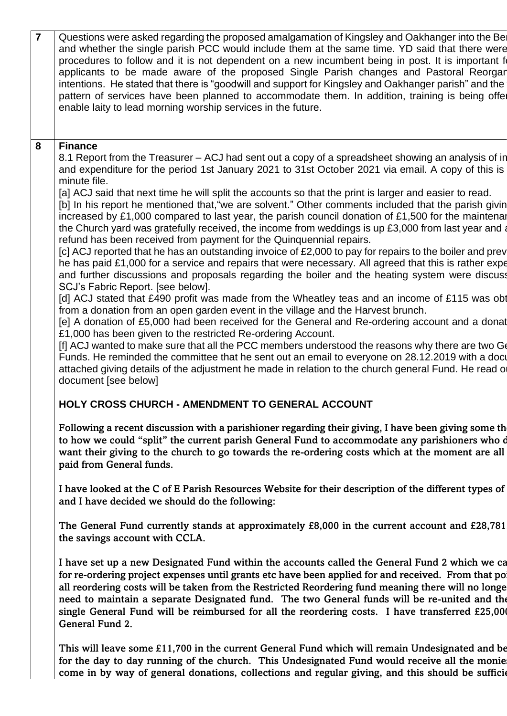| $\overline{7}$ | Questions were asked regarding the proposed amalgamation of Kingsley and Oakhanger into the Bel<br>and whether the single parish PCC would include them at the same time. YD said that there were<br>procedures to follow and it is not dependent on a new incumbent being in post. It is important for<br>applicants to be made aware of the proposed Single Parish changes and Pastoral Reorgan<br>intentions. He stated that there is "goodwill and support for Kingsley and Oakhanger parish" and the<br>pattern of services have been planned to accommodate them. In addition, training is being offer<br>enable laity to lead morning worship services in the future.                                                                                                                                                                                                                                                                                                                                                                                                                                                                                                                                                                                                                                                                                                                                                                                                                                                                                                                                                                                                                                                                                                                              |
|----------------|-----------------------------------------------------------------------------------------------------------------------------------------------------------------------------------------------------------------------------------------------------------------------------------------------------------------------------------------------------------------------------------------------------------------------------------------------------------------------------------------------------------------------------------------------------------------------------------------------------------------------------------------------------------------------------------------------------------------------------------------------------------------------------------------------------------------------------------------------------------------------------------------------------------------------------------------------------------------------------------------------------------------------------------------------------------------------------------------------------------------------------------------------------------------------------------------------------------------------------------------------------------------------------------------------------------------------------------------------------------------------------------------------------------------------------------------------------------------------------------------------------------------------------------------------------------------------------------------------------------------------------------------------------------------------------------------------------------------------------------------------------------------------------------------------------------|
| 8              | <b>Finance</b><br>8.1 Report from the Treasurer – ACJ had sent out a copy of a spreadsheet showing an analysis of in<br>and expenditure for the period 1st January 2021 to 31st October 2021 via email. A copy of this is<br>minute file.<br>[a] ACJ said that next time he will split the accounts so that the print is larger and easier to read.<br>[b] In his report he mentioned that, "we are solvent." Other comments included that the parish givin<br>increased by £1,000 compared to last year, the parish council donation of £1,500 for the maintenar<br>the Church yard was gratefully received, the income from weddings is up £3,000 from last year and a<br>refund has been received from payment for the Quinquennial repairs.<br>[c] ACJ reported that he has an outstanding invoice of £2,000 to pay for repairs to the boiler and prev<br>he has paid £1,000 for a service and repairs that were necessary. All agreed that this is rather expe<br>and further discussions and proposals regarding the boiler and the heating system were discuss<br>SCJ's Fabric Report. [see below].<br>[d] ACJ stated that £490 profit was made from the Wheatley teas and an income of £115 was obt<br>from a donation from an open garden event in the village and the Harvest brunch.<br>[e] A donation of £5,000 had been received for the General and Re-ordering account and a donat<br>£1,000 has been given to the restricted Re-ordering Account.<br>[f] ACJ wanted to make sure that all the PCC members understood the reasons why there are two Ge<br>Funds. He reminded the committee that he sent out an email to everyone on 28.12.2019 with a docu<br>attached giving details of the adjustment he made in relation to the church general Fund. He read of<br>document [see below] |
|                | <b>HOLY CROSS CHURCH - AMENDMENT TO GENERAL ACCOUNT</b>                                                                                                                                                                                                                                                                                                                                                                                                                                                                                                                                                                                                                                                                                                                                                                                                                                                                                                                                                                                                                                                                                                                                                                                                                                                                                                                                                                                                                                                                                                                                                                                                                                                                                                                                                   |
|                | Following a recent discussion with a parishioner regarding their giving, I have been giving some th<br>to how we could "split" the current parish General Fund to accommodate any parishioners who d<br>want their giving to the church to go towards the re-ordering costs which at the moment are all<br>paid from General funds.<br>I have looked at the C of E Parish Resources Website for their description of the different types of<br>and I have decided we should do the following:                                                                                                                                                                                                                                                                                                                                                                                                                                                                                                                                                                                                                                                                                                                                                                                                                                                                                                                                                                                                                                                                                                                                                                                                                                                                                                             |
|                | The General Fund currently stands at approximately £8,000 in the current account and £28,781<br>the savings account with CCLA.                                                                                                                                                                                                                                                                                                                                                                                                                                                                                                                                                                                                                                                                                                                                                                                                                                                                                                                                                                                                                                                                                                                                                                                                                                                                                                                                                                                                                                                                                                                                                                                                                                                                            |
|                | I have set up a new Designated Fund within the accounts called the General Fund 2 which we ca<br>for re-ordering project expenses until grants etc have been applied for and received. From that po<br>all reordering costs will be taken from the Restricted Reordering fund meaning there will no longe<br>need to maintain a separate Designated fund. The two General funds will be re-united and the<br>single General Fund will be reimbursed for all the reordering costs. I have transferred £25,000<br>General Fund 2.                                                                                                                                                                                                                                                                                                                                                                                                                                                                                                                                                                                                                                                                                                                                                                                                                                                                                                                                                                                                                                                                                                                                                                                                                                                                           |
|                | This will leave some £11,700 in the current General Fund which will remain Undesignated and be<br>for the day to day running of the church. This Undesignated Fund would receive all the monie<br>come in by way of general donations, collections and regular giving, and this should be sufficie                                                                                                                                                                                                                                                                                                                                                                                                                                                                                                                                                                                                                                                                                                                                                                                                                                                                                                                                                                                                                                                                                                                                                                                                                                                                                                                                                                                                                                                                                                        |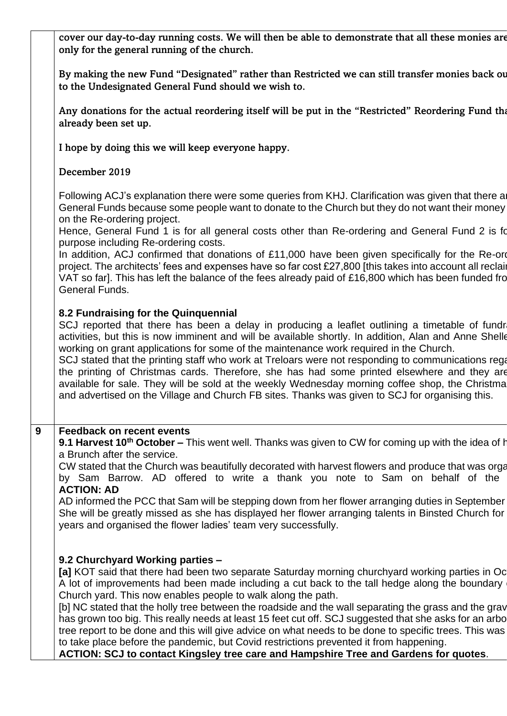|   | cover our day-to-day running costs. We will then be able to demonstrate that all these monies are<br>only for the general running of the church.                                                                                                                                                                                                                                                                                                                                                                                                                                                                                                                                                                                                                                                                   |
|---|--------------------------------------------------------------------------------------------------------------------------------------------------------------------------------------------------------------------------------------------------------------------------------------------------------------------------------------------------------------------------------------------------------------------------------------------------------------------------------------------------------------------------------------------------------------------------------------------------------------------------------------------------------------------------------------------------------------------------------------------------------------------------------------------------------------------|
|   | By making the new Fund "Designated" rather than Restricted we can still transfer monies back ou<br>to the Undesignated General Fund should we wish to.                                                                                                                                                                                                                                                                                                                                                                                                                                                                                                                                                                                                                                                             |
|   | Any donations for the actual reordering itself will be put in the "Restricted" Reordering Fund the<br>already been set up.                                                                                                                                                                                                                                                                                                                                                                                                                                                                                                                                                                                                                                                                                         |
|   | I hope by doing this we will keep everyone happy.                                                                                                                                                                                                                                                                                                                                                                                                                                                                                                                                                                                                                                                                                                                                                                  |
|   | December 2019                                                                                                                                                                                                                                                                                                                                                                                                                                                                                                                                                                                                                                                                                                                                                                                                      |
|   | Following ACJ's explanation there were some queries from KHJ. Clarification was given that there a<br>General Funds because some people want to donate to the Church but they do not want their money<br>on the Re-ordering project.<br>Hence, General Fund 1 is for all general costs other than Re-ordering and General Fund 2 is fo<br>purpose including Re-ordering costs.<br>In addition, ACJ confirmed that donations of £11,000 have been given specifically for the Re-ord<br>project. The architects' fees and expenses have so far cost £27,800 [this takes into account all reclain<br>VAT so far]. This has left the balance of the fees already paid of £16,800 which has been funded fro<br>General Funds.                                                                                           |
|   | 8.2 Fundraising for the Quinquennial<br>SCJ reported that there has been a delay in producing a leaflet outlining a timetable of fundri<br>activities, but this is now imminent and will be available shortly. In addition, Alan and Anne Shelle<br>working on grant applications for some of the maintenance work required in the Church.<br>SCJ stated that the printing staff who work at Treloars were not responding to communications rega<br>the printing of Christmas cards. Therefore, she has had some printed elsewhere and they are<br>available for sale. They will be sold at the weekly Wednesday morning coffee shop, the Christma<br>and advertised on the Village and Church FB sites. Thanks was given to SCJ for organising this.                                                              |
| 9 | <b>Feedback on recent events</b><br>9.1 Harvest 10 <sup>th</sup> October – This went well. Thanks was given to CW for coming up with the idea of h<br>a Brunch after the service.<br>CW stated that the Church was beautifully decorated with harvest flowers and produce that was orga<br>by Sam Barrow. AD offered to write a thank you note to Sam on behalf of the<br><b>ACTION: AD</b><br>AD informed the PCC that Sam will be stepping down from her flower arranging duties in September<br>She will be greatly missed as she has displayed her flower arranging talents in Binsted Church for<br>years and organised the flower ladies' team very successfully.                                                                                                                                            |
|   | 9.2 Churchyard Working parties -<br>[a] KOT said that there had been two separate Saturday morning churchyard working parties in Oc<br>A lot of improvements had been made including a cut back to the tall hedge along the boundary<br>Church yard. This now enables people to walk along the path.<br>[b] NC stated that the holly tree between the roadside and the wall separating the grass and the grav<br>has grown too big. This really needs at least 15 feet cut off. SCJ suggested that she asks for an arbo<br>tree report to be done and this will give advice on what needs to be done to specific trees. This was<br>to take place before the pandemic, but Covid restrictions prevented it from happening.<br>ACTION: SCJ to contact Kingsley tree care and Hampshire Tree and Gardens for quotes. |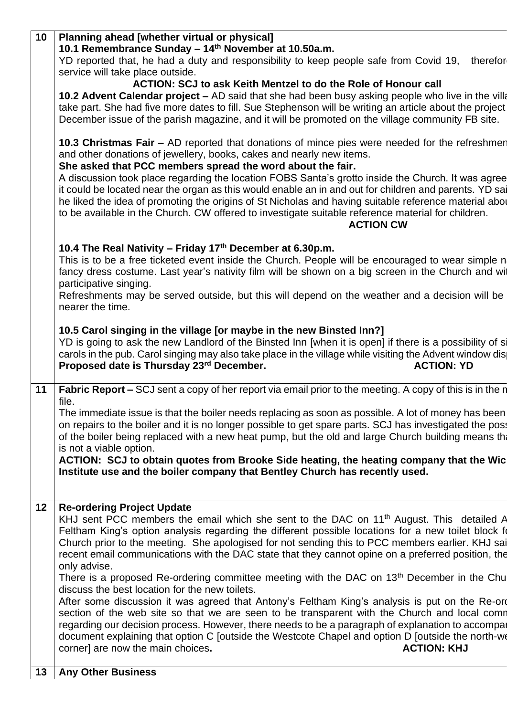| 10 | Planning ahead [whether virtual or physical]<br>10.1 Remembrance Sunday - 14th November at 10.50a.m.                                                                                                                                                                                                                                                                                                                                                                                                                                                                                                                                                                                   |
|----|----------------------------------------------------------------------------------------------------------------------------------------------------------------------------------------------------------------------------------------------------------------------------------------------------------------------------------------------------------------------------------------------------------------------------------------------------------------------------------------------------------------------------------------------------------------------------------------------------------------------------------------------------------------------------------------|
|    | YD reported that, he had a duty and responsibility to keep people safe from Covid 19, therefor<br>service will take place outside.                                                                                                                                                                                                                                                                                                                                                                                                                                                                                                                                                     |
|    | <b>ACTION: SCJ to ask Keith Mentzel to do the Role of Honour call</b>                                                                                                                                                                                                                                                                                                                                                                                                                                                                                                                                                                                                                  |
|    | 10.2 Advent Calendar project - AD said that she had been busy asking people who live in the villa<br>take part. She had five more dates to fill. Sue Stephenson will be writing an article about the project                                                                                                                                                                                                                                                                                                                                                                                                                                                                           |
|    | December issue of the parish magazine, and it will be promoted on the village community FB site.                                                                                                                                                                                                                                                                                                                                                                                                                                                                                                                                                                                       |
|    | 10.3 Christmas Fair – AD reported that donations of mince pies were needed for the refreshmen<br>and other donations of jewellery, books, cakes and nearly new items.<br>She asked that PCC members spread the word about the fair.<br>A discussion took place regarding the location FOBS Santa's grotto inside the Church. It was agree<br>it could be located near the organ as this would enable an in and out for children and parents. YD sai<br>he liked the idea of promoting the origins of St Nicholas and having suitable reference material abor<br>to be available in the Church. CW offered to investigate suitable reference material for children.<br><b>ACTION CW</b> |
|    | 10.4 The Real Nativity - Friday 17th December at 6.30p.m.                                                                                                                                                                                                                                                                                                                                                                                                                                                                                                                                                                                                                              |
|    | This is to be a free ticketed event inside the Church. People will be encouraged to wear simple n<br>fancy dress costume. Last year's nativity film will be shown on a big screen in the Church and wit<br>participative singing.                                                                                                                                                                                                                                                                                                                                                                                                                                                      |
|    | Refreshments may be served outside, but this will depend on the weather and a decision will be<br>nearer the time.                                                                                                                                                                                                                                                                                                                                                                                                                                                                                                                                                                     |
|    | 10.5 Carol singing in the village [or maybe in the new Binsted Inn?]                                                                                                                                                                                                                                                                                                                                                                                                                                                                                                                                                                                                                   |
|    | YD is going to ask the new Landlord of the Binsted Inn [when it is open] if there is a possibility of si<br>carols in the pub. Carol singing may also take place in the village while visiting the Advent window dis<br>Proposed date is Thursday 23rd December.<br><b>ACTION: YD</b>                                                                                                                                                                                                                                                                                                                                                                                                  |
| 11 | <b>Fabric Report –</b> SCJ sent a copy of her report via email prior to the meeting. A copy of this is in the n<br>file.                                                                                                                                                                                                                                                                                                                                                                                                                                                                                                                                                               |
|    | The immediate issue is that the boiler needs replacing as soon as possible. A lot of money has been<br>on repairs to the boiler and it is no longer possible to get spare parts. SCJ has investigated the poss<br>of the boiler being replaced with a new heat pump, but the old and large Church building means the<br>is not a viable option.                                                                                                                                                                                                                                                                                                                                        |
|    | ACTION: SCJ to obtain quotes from Brooke Side heating, the heating company that the Wic<br>Institute use and the boiler company that Bentley Church has recently used.                                                                                                                                                                                                                                                                                                                                                                                                                                                                                                                 |
|    |                                                                                                                                                                                                                                                                                                                                                                                                                                                                                                                                                                                                                                                                                        |
| 12 | <b>Re-ordering Project Update</b>                                                                                                                                                                                                                                                                                                                                                                                                                                                                                                                                                                                                                                                      |
|    | KHJ sent PCC members the email which she sent to the DAC on 11 <sup>th</sup> August. This detailed A<br>Feltham King's option analysis regarding the different possible locations for a new toilet block for<br>Church prior to the meeting. She apologised for not sending this to PCC members earlier. KHJ sai<br>recent email communications with the DAC state that they cannot opine on a preferred position, the                                                                                                                                                                                                                                                                 |
|    | only advise.<br>There is a proposed Re-ordering committee meeting with the DAC on 13 <sup>th</sup> December in the Chu                                                                                                                                                                                                                                                                                                                                                                                                                                                                                                                                                                 |
|    | discuss the best location for the new toilets.                                                                                                                                                                                                                                                                                                                                                                                                                                                                                                                                                                                                                                         |
|    | After some discussion it was agreed that Antony's Feltham King's analysis is put on the Re-ord<br>section of the web site so that we are seen to be transparent with the Church and local comn<br>regarding our decision process. However, there needs to be a paragraph of explanation to accompar                                                                                                                                                                                                                                                                                                                                                                                    |
|    | document explaining that option C [outside the Westcote Chapel and option D [outside the north-we<br>corner] are now the main choices.<br><b>ACTION: KHJ</b>                                                                                                                                                                                                                                                                                                                                                                                                                                                                                                                           |
| 13 | <b>Any Other Business</b>                                                                                                                                                                                                                                                                                                                                                                                                                                                                                                                                                                                                                                                              |
|    |                                                                                                                                                                                                                                                                                                                                                                                                                                                                                                                                                                                                                                                                                        |